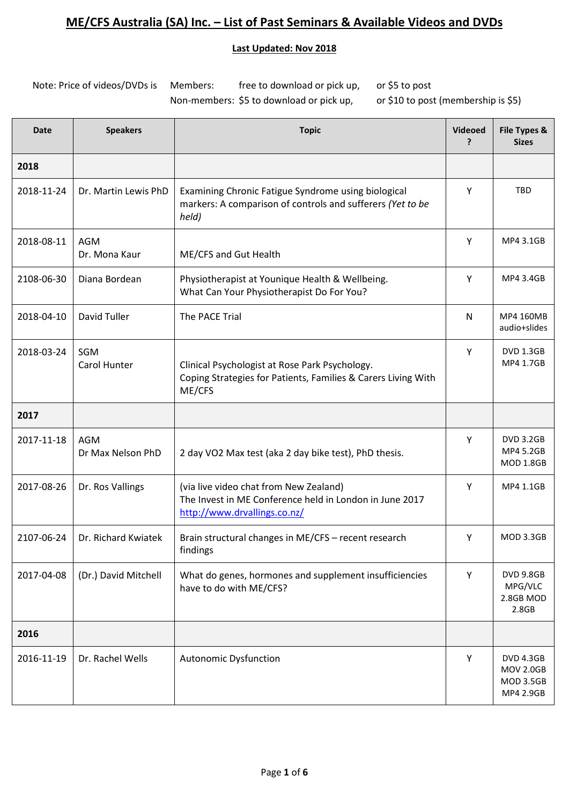#### **Last Updated: Nov 2018**

Note: Price of videos/DVDs is Members: free to download or pick up, or \$5 to post Non-members: \$5 to download or pick up, or \$10 to post (membership is \$5)

| <b>Date</b> | <b>Speakers</b>                 | <b>Topic</b>                                                                                                                      | <b>Videoed</b><br>7 | File Types &<br><b>Sizes</b>                                          |
|-------------|---------------------------------|-----------------------------------------------------------------------------------------------------------------------------------|---------------------|-----------------------------------------------------------------------|
| 2018        |                                 |                                                                                                                                   |                     |                                                                       |
| 2018-11-24  | Dr. Martin Lewis PhD            | Examining Chronic Fatigue Syndrome using biological<br>markers: A comparison of controls and sufferers (Yet to be<br>held)        | Υ                   | <b>TBD</b>                                                            |
| 2018-08-11  | <b>AGM</b><br>Dr. Mona Kaur     | ME/CFS and Gut Health                                                                                                             | Y                   | MP4 3.1GB                                                             |
| 2108-06-30  | Diana Bordean                   | Physiotherapist at Younique Health & Wellbeing.<br>What Can Your Physiotherapist Do For You?                                      | Υ                   | MP4 3.4GB                                                             |
| 2018-04-10  | David Tuller                    | The PACE Trial                                                                                                                    | N                   | MP4 160MB<br>audio+slides                                             |
| 2018-03-24  | SGM<br>Carol Hunter             | Clinical Psychologist at Rose Park Psychology.<br>Coping Strategies for Patients, Families & Carers Living With<br>ME/CFS         | Y                   | <b>DVD 1.3GB</b><br>MP4 1.7GB                                         |
| 2017        |                                 |                                                                                                                                   |                     |                                                                       |
| 2017-11-18  | <b>AGM</b><br>Dr Max Nelson PhD | 2 day VO2 Max test (aka 2 day bike test), PhD thesis.                                                                             | Y                   | <b>DVD 3.2GB</b><br>MP4 5.2GB<br><b>MOD 1.8GB</b>                     |
| 2017-08-26  | Dr. Ros Vallings                | (via live video chat from New Zealand)<br>The Invest in ME Conference held in London in June 2017<br>http://www.drvallings.co.nz/ | Y                   | MP4 1.1GB                                                             |
| 2107-06-24  | Dr. Richard Kwiatek             | Brain structural changes in ME/CFS - recent research<br>findings                                                                  | Y                   | <b>MOD 3.3GB</b>                                                      |
| 2017-04-08  | (Dr.) David Mitchell            | What do genes, hormones and supplement insufficiencies<br>have to do with ME/CFS?                                                 | Υ                   | <b>DVD 9.8GB</b><br>MPG/VLC<br>2.8GB MOD<br>2.8GB                     |
| 2016        |                                 |                                                                                                                                   |                     |                                                                       |
| 2016-11-19  | Dr. Rachel Wells                | <b>Autonomic Dysfunction</b>                                                                                                      | Υ                   | <b>DVD 4.3GB</b><br><b>MOV 2.0GB</b><br><b>MOD 3.5GB</b><br>MP4 2.9GB |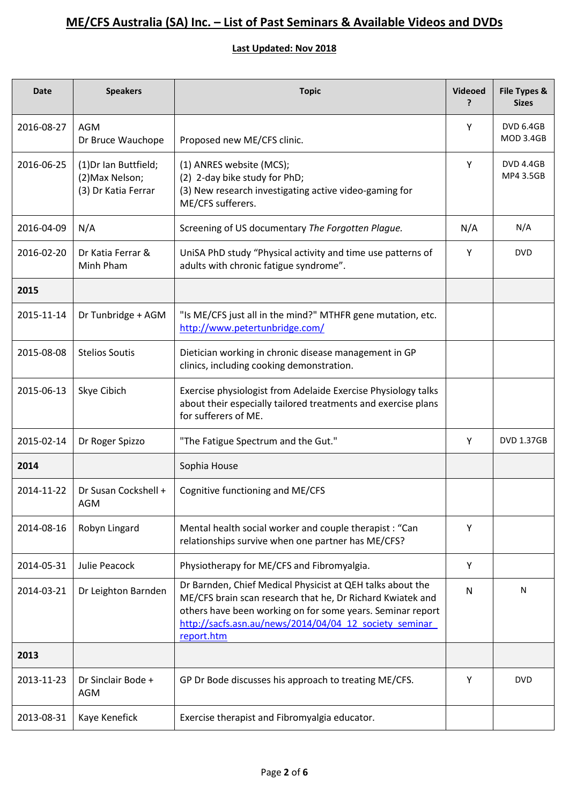| <b>Date</b> | <b>Speakers</b>                                                 | <b>Topic</b>                                                                                                                                                                                                                                                   | <b>Videoed</b><br>? | File Types &<br><b>Sizes</b>         |
|-------------|-----------------------------------------------------------------|----------------------------------------------------------------------------------------------------------------------------------------------------------------------------------------------------------------------------------------------------------------|---------------------|--------------------------------------|
| 2016-08-27  | <b>AGM</b><br>Dr Bruce Wauchope                                 | Proposed new ME/CFS clinic.                                                                                                                                                                                                                                    | Y                   | <b>DVD 6.4GB</b><br><b>MOD 3.4GB</b> |
| 2016-06-25  | (1) Dr Ian Buttfield;<br>(2) Max Nelson;<br>(3) Dr Katia Ferrar | (1) ANRES website (MCS);<br>(2) 2-day bike study for PhD;<br>(3) New research investigating active video-gaming for<br>ME/CFS sufferers.                                                                                                                       | Y                   | <b>DVD 4.4GB</b><br>MP4 3.5GB        |
| 2016-04-09  | N/A                                                             | Screening of US documentary The Forgotten Plague.                                                                                                                                                                                                              | N/A                 | N/A                                  |
| 2016-02-20  | Dr Katia Ferrar &<br>Minh Pham                                  | UniSA PhD study "Physical activity and time use patterns of<br>adults with chronic fatigue syndrome".                                                                                                                                                          | Υ                   | <b>DVD</b>                           |
| 2015        |                                                                 |                                                                                                                                                                                                                                                                |                     |                                      |
| 2015-11-14  | Dr Tunbridge + AGM                                              | "Is ME/CFS just all in the mind?" MTHFR gene mutation, etc.<br>http://www.petertunbridge.com/                                                                                                                                                                  |                     |                                      |
| 2015-08-08  | <b>Stelios Soutis</b>                                           | Dietician working in chronic disease management in GP<br>clinics, including cooking demonstration.                                                                                                                                                             |                     |                                      |
| 2015-06-13  | Skye Cibich                                                     | Exercise physiologist from Adelaide Exercise Physiology talks<br>about their especially tailored treatments and exercise plans<br>for sufferers of ME.                                                                                                         |                     |                                      |
| 2015-02-14  | Dr Roger Spizzo                                                 | "The Fatigue Spectrum and the Gut."                                                                                                                                                                                                                            | Y                   | <b>DVD 1.37GB</b>                    |
| 2014        |                                                                 | Sophia House                                                                                                                                                                                                                                                   |                     |                                      |
| 2014-11-22  | Dr Susan Cockshell +<br><b>AGM</b>                              | Cognitive functioning and ME/CFS                                                                                                                                                                                                                               |                     |                                      |
| 2014-08-16  | Robyn Lingard                                                   | Mental health social worker and couple therapist : "Can<br>relationships survive when one partner has ME/CFS?                                                                                                                                                  | Y                   |                                      |
| 2014-05-31  | Julie Peacock                                                   | Physiotherapy for ME/CFS and Fibromyalgia.                                                                                                                                                                                                                     | Υ                   |                                      |
| 2014-03-21  | Dr Leighton Barnden                                             | Dr Barnden, Chief Medical Physicist at QEH talks about the<br>ME/CFS brain scan research that he, Dr Richard Kwiatek and<br>others have been working on for some years. Seminar report<br>http://sacfs.asn.au/news/2014/04/04 12 society seminar<br>report.htm | N                   | N                                    |
| 2013        |                                                                 |                                                                                                                                                                                                                                                                |                     |                                      |
| 2013-11-23  | Dr Sinclair Bode +<br><b>AGM</b>                                | GP Dr Bode discusses his approach to treating ME/CFS.                                                                                                                                                                                                          | Y                   | <b>DVD</b>                           |
| 2013-08-31  | Kaye Kenefick                                                   | Exercise therapist and Fibromyalgia educator.                                                                                                                                                                                                                  |                     |                                      |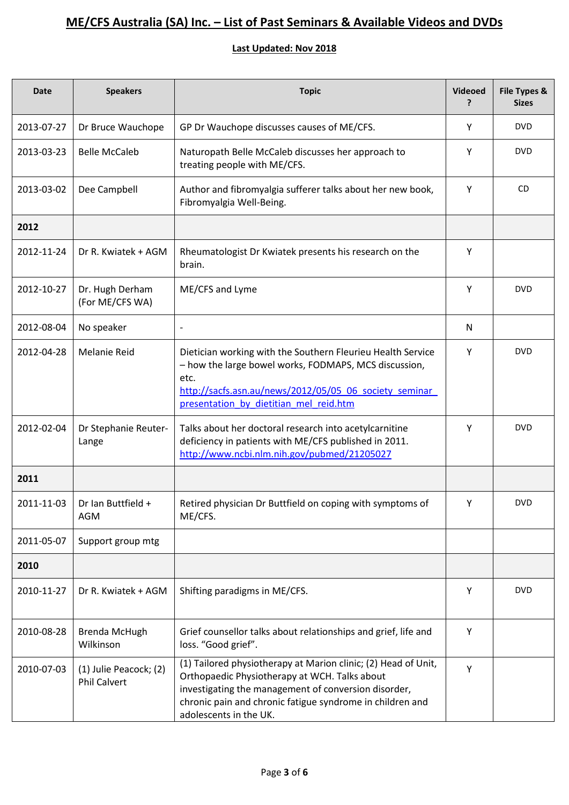| <b>Date</b> | <b>Speakers</b>                               | <b>Topic</b>                                                                                                                                                                                                                                                   | Videoed<br>? | File Types &<br><b>Sizes</b> |
|-------------|-----------------------------------------------|----------------------------------------------------------------------------------------------------------------------------------------------------------------------------------------------------------------------------------------------------------------|--------------|------------------------------|
| 2013-07-27  | Dr Bruce Wauchope                             | GP Dr Wauchope discusses causes of ME/CFS.                                                                                                                                                                                                                     | Υ            | <b>DVD</b>                   |
| 2013-03-23  | <b>Belle McCaleb</b>                          | Naturopath Belle McCaleb discusses her approach to<br>treating people with ME/CFS.                                                                                                                                                                             | Υ            | <b>DVD</b>                   |
| 2013-03-02  | Dee Campbell                                  | Author and fibromyalgia sufferer talks about her new book,<br>Fibromyalgia Well-Being.                                                                                                                                                                         | Y            | <b>CD</b>                    |
| 2012        |                                               |                                                                                                                                                                                                                                                                |              |                              |
| 2012-11-24  | Dr R. Kwiatek + AGM                           | Rheumatologist Dr Kwiatek presents his research on the<br>brain.                                                                                                                                                                                               | Y            |                              |
| 2012-10-27  | Dr. Hugh Derham<br>(For ME/CFS WA)            | ME/CFS and Lyme                                                                                                                                                                                                                                                | Y            | <b>DVD</b>                   |
| 2012-08-04  | No speaker                                    | $\overline{a}$                                                                                                                                                                                                                                                 | N            |                              |
| 2012-04-28  | <b>Melanie Reid</b>                           | Dietician working with the Southern Fleurieu Health Service<br>- how the large bowel works, FODMAPS, MCS discussion,<br>etc.<br>http://sacfs.asn.au/news/2012/05/05 06 society seminar<br>presentation by dietitian mel reid.htm                               | Y            | <b>DVD</b>                   |
| 2012-02-04  | Dr Stephanie Reuter-<br>Lange                 | Talks about her doctoral research into acetylcarnitine<br>deficiency in patients with ME/CFS published in 2011.<br>http://www.ncbi.nlm.nih.gov/pubmed/21205027                                                                                                 | Υ            | <b>DVD</b>                   |
| 2011        |                                               |                                                                                                                                                                                                                                                                |              |                              |
| 2011-11-03  | Dr Ian Buttfield +<br><b>AGM</b>              | Retired physician Dr Buttfield on coping with symptoms of<br>ME/CFS.                                                                                                                                                                                           | Y            | <b>DVD</b>                   |
| 2011-05-07  | Support group mtg                             |                                                                                                                                                                                                                                                                |              |                              |
| 2010        |                                               |                                                                                                                                                                                                                                                                |              |                              |
| 2010-11-27  | Dr R. Kwiatek + AGM                           | Shifting paradigms in ME/CFS.                                                                                                                                                                                                                                  | Y            | <b>DVD</b>                   |
| 2010-08-28  | Brenda McHugh<br>Wilkinson                    | Grief counsellor talks about relationships and grief, life and<br>loss. "Good grief".                                                                                                                                                                          | Υ            |                              |
| 2010-07-03  | (1) Julie Peacock; (2)<br><b>Phil Calvert</b> | (1) Tailored physiotherapy at Marion clinic; (2) Head of Unit,<br>Orthopaedic Physiotherapy at WCH. Talks about<br>investigating the management of conversion disorder,<br>chronic pain and chronic fatigue syndrome in children and<br>adolescents in the UK. | Υ            |                              |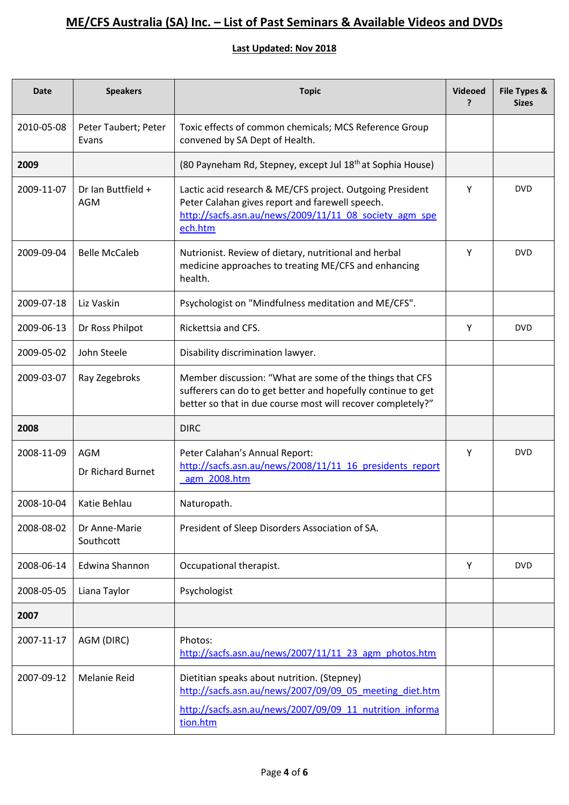| <b>Date</b> | <b>Speakers</b>                  | <b>Topic</b>                                                                                                                                                                            | <b>Videoed</b><br>? | File Types &<br><b>Sizes</b> |
|-------------|----------------------------------|-----------------------------------------------------------------------------------------------------------------------------------------------------------------------------------------|---------------------|------------------------------|
| 2010-05-08  | Peter Taubert; Peter<br>Evans    | Toxic effects of common chemicals; MCS Reference Group<br>convened by SA Dept of Health.                                                                                                |                     |                              |
| 2009        |                                  | (80 Payneham Rd, Stepney, except Jul 18 <sup>th</sup> at Sophia House)                                                                                                                  |                     |                              |
| 2009-11-07  | Dr Ian Buttfield +<br><b>AGM</b> | Lactic acid research & ME/CFS project. Outgoing President<br>Peter Calahan gives report and farewell speech.<br>http://sacfs.asn.au/news/2009/11/11 08 society agm spe<br>ech.htm       | Υ                   | <b>DVD</b>                   |
| 2009-09-04  | <b>Belle McCaleb</b>             | Nutrionist. Review of dietary, nutritional and herbal<br>medicine approaches to treating ME/CFS and enhancing<br>health.                                                                | Y                   | <b>DVD</b>                   |
| 2009-07-18  | Liz Vaskin                       | Psychologist on "Mindfulness meditation and ME/CFS".                                                                                                                                    |                     |                              |
| 2009-06-13  | Dr Ross Philpot                  | Rickettsia and CFS.                                                                                                                                                                     | Y                   | <b>DVD</b>                   |
| 2009-05-02  | John Steele                      | Disability discrimination lawyer.                                                                                                                                                       |                     |                              |
| 2009-03-07  | Ray Zegebroks                    | Member discussion: "What are some of the things that CFS<br>sufferers can do to get better and hopefully continue to get<br>better so that in due course most will recover completely?" |                     |                              |
| 2008        |                                  | <b>DIRC</b>                                                                                                                                                                             |                     |                              |
| 2008-11-09  | AGM<br><b>Dr Richard Burnet</b>  | Peter Calahan's Annual Report:<br>http://sacfs.asn.au/news/2008/11/11 16 presidents report<br>agm 2008.htm                                                                              | Y                   | <b>DVD</b>                   |
| 2008-10-04  | Katie Behlau                     | Naturopath.                                                                                                                                                                             |                     |                              |
| 2008-08-02  | Dr Anne-Marie<br>Southcott       | President of Sleep Disorders Association of SA.                                                                                                                                         |                     |                              |
| 2008-06-14  | <b>Edwina Shannon</b>            | Occupational therapist.                                                                                                                                                                 | Y                   | <b>DVD</b>                   |
| 2008-05-05  | Liana Taylor                     | Psychologist                                                                                                                                                                            |                     |                              |
| 2007        |                                  |                                                                                                                                                                                         |                     |                              |
| 2007-11-17  | AGM (DIRC)                       | Photos:<br>http://sacfs.asn.au/news/2007/11/11 23 agm photos.htm                                                                                                                        |                     |                              |
| 2007-09-12  | <b>Melanie Reid</b>              | Dietitian speaks about nutrition. (Stepney)<br>http://sacfs.asn.au/news/2007/09/09 05 meeting diet.htm                                                                                  |                     |                              |
|             |                                  | http://sacfs.asn.au/news/2007/09/09 11 nutrition informa<br>tion.htm                                                                                                                    |                     |                              |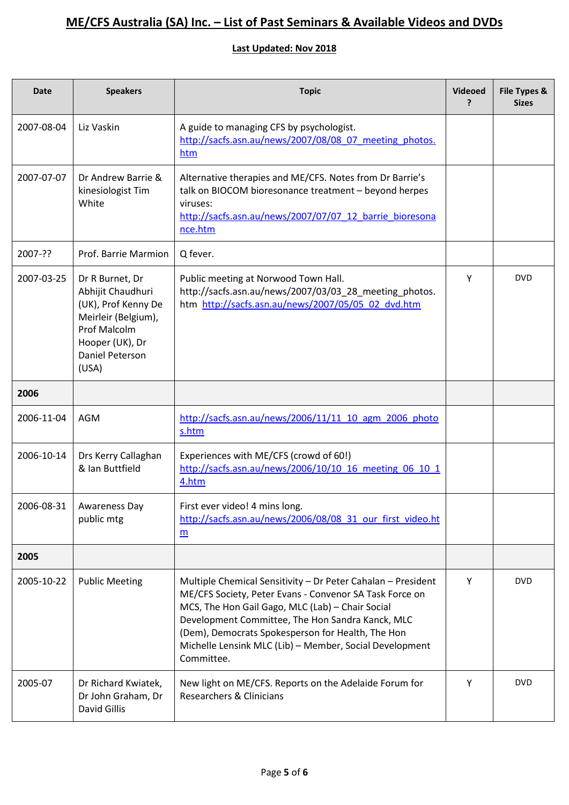| <b>Date</b> | <b>Speakers</b>                                                                                                                                                 | <b>Topic</b>                                                                                                                                                                                                                                                                                                                                                  | Videoed<br>? | File Types &<br><b>Sizes</b> |
|-------------|-----------------------------------------------------------------------------------------------------------------------------------------------------------------|---------------------------------------------------------------------------------------------------------------------------------------------------------------------------------------------------------------------------------------------------------------------------------------------------------------------------------------------------------------|--------------|------------------------------|
| 2007-08-04  | Liz Vaskin                                                                                                                                                      | A guide to managing CFS by psychologist.<br>http://sacfs.asn.au/news/2007/08/08 07 meeting photos.<br>htm                                                                                                                                                                                                                                                     |              |                              |
| 2007-07-07  | Dr Andrew Barrie &<br>kinesiologist Tim<br>White                                                                                                                | Alternative therapies and ME/CFS. Notes from Dr Barrie's<br>talk on BIOCOM bioresonance treatment - beyond herpes<br>viruses:<br>http://sacfs.asn.au/news/2007/07/07_12_barrie_bioresona<br>nce.htm                                                                                                                                                           |              |                              |
| 2007-??     | Prof. Barrie Marmion                                                                                                                                            | Q fever.                                                                                                                                                                                                                                                                                                                                                      |              |                              |
| 2007-03-25  | Dr R Burnet, Dr<br>Abhijit Chaudhuri<br>(UK), Prof Kenny De<br>Meirleir (Belgium),<br><b>Prof Malcolm</b><br>Hooper (UK), Dr<br><b>Daniel Peterson</b><br>(USA) | Public meeting at Norwood Town Hall.<br>http://sacfs.asn.au/news/2007/03/03_28_meeting_photos.<br>htm http://sacfs.asn.au/news/2007/05/05 02 dvd.htm                                                                                                                                                                                                          | Y            | <b>DVD</b>                   |
| 2006        |                                                                                                                                                                 |                                                                                                                                                                                                                                                                                                                                                               |              |                              |
| 2006-11-04  | AGM                                                                                                                                                             | http://sacfs.asn.au/news/2006/11/11 10 agm 2006 photo<br>s.htm                                                                                                                                                                                                                                                                                                |              |                              |
| 2006-10-14  | Drs Kerry Callaghan<br>& Ian Buttfield                                                                                                                          | Experiences with ME/CFS (crowd of 60!)<br>http://sacfs.asn.au/news/2006/10/10 16 meeting 06 10 1<br>4.htm                                                                                                                                                                                                                                                     |              |                              |
| 2006-08-31  | Awareness Day<br>public mtg                                                                                                                                     | First ever video! 4 mins long<br>http://sacfs.asn.au/news/2006/08/08 31 our first video.ht<br>m                                                                                                                                                                                                                                                               |              |                              |
| 2005        |                                                                                                                                                                 |                                                                                                                                                                                                                                                                                                                                                               |              |                              |
| 2005-10-22  | <b>Public Meeting</b>                                                                                                                                           | Multiple Chemical Sensitivity - Dr Peter Cahalan - President<br>ME/CFS Society, Peter Evans - Convenor SA Task Force on<br>MCS, The Hon Gail Gago, MLC (Lab) - Chair Social<br>Development Committee, The Hon Sandra Kanck, MLC<br>(Dem), Democrats Spokesperson for Health, The Hon<br>Michelle Lensink MLC (Lib) - Member, Social Development<br>Committee. | Y            | <b>DVD</b>                   |
| 2005-07     | Dr Richard Kwiatek,<br>Dr John Graham, Dr<br>David Gillis                                                                                                       | New light on ME/CFS. Reports on the Adelaide Forum for<br>Researchers & Clinicians                                                                                                                                                                                                                                                                            | Y            | <b>DVD</b>                   |